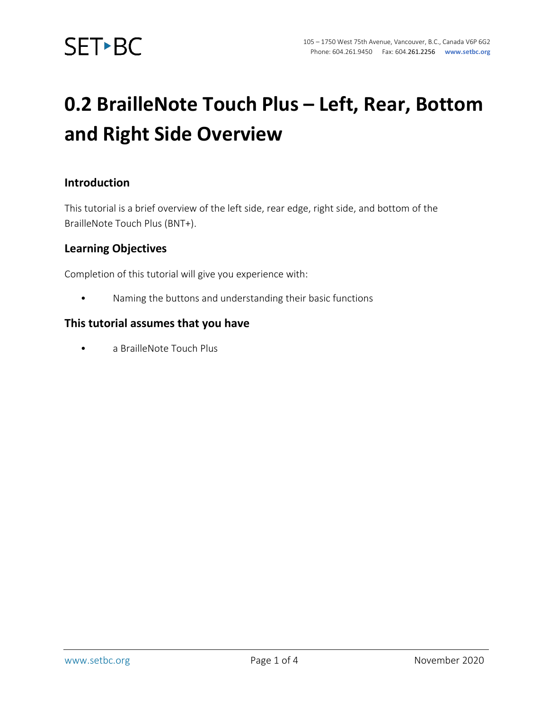

### **0.2 BrailleNote Touch Plus – Left, Rear, Bottom and Right Side Overview**

#### **Introduction**

This tutorial is a brief overview of the left side, rear edge, right side, and bottom of the BrailleNote Touch Plus (BNT+).

#### **Learning Objectives**

Completion of this tutorial will give you experience with:

• Naming the buttons and understanding their basic functions

#### **This tutorial assumes that you have**

• a BrailleNote Touch Plus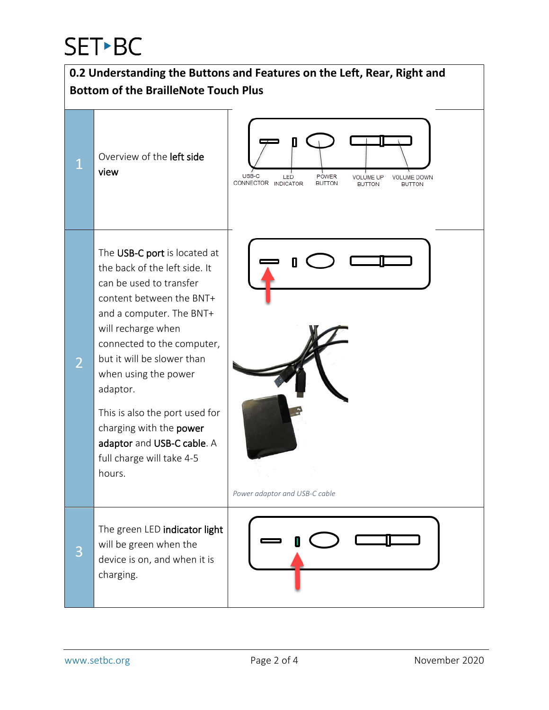# **SET-BC**

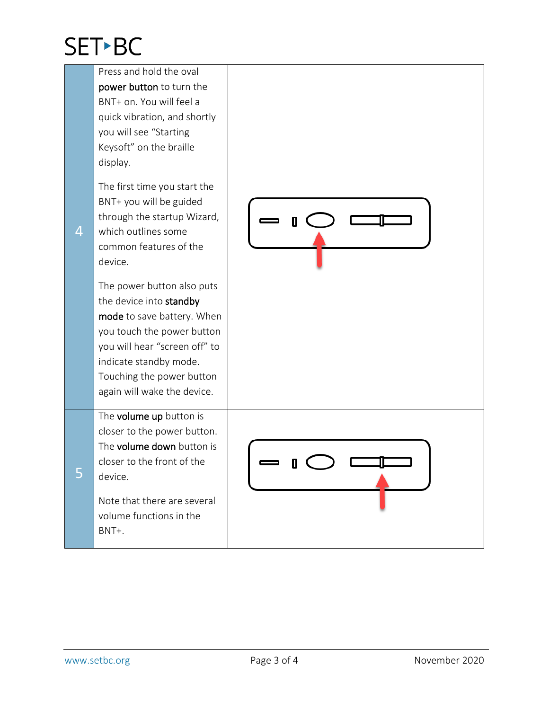## **SET-BC**